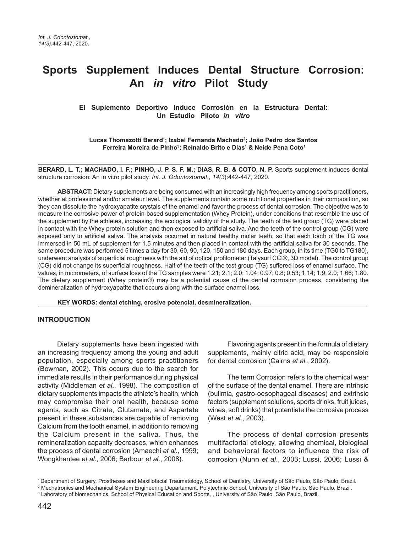# **Sports Supplement Induces Dental Structure Corrosion: An** *in vitro* **Pilot Study**

**El Suplemento Deportivo Induce Corrosión en la Estructura Dental: Un Estudio Piloto** *in vitro*

**Lucas Thomazotti Berard1 ; Izabel Fernanda Machado2 ; João Pedro dos Santos Ferreira Moreira de Pinho3 ; Reinaldo Brito e Dias1 & Neide Pena Coto1**

**BERARD, L. T.; MACHADO, I. F.; PINHO, J. P. S. F. M.; DIAS, R. B. & COTO, N. P.** Sports supplement induces dental structure corrosion: An in vitro pilot study. *Int. J. Odontostomat., 14(3*):442-447, 2020.

**ABSTRACT:** Dietary supplements are being consumed with an increasingly high frequency among sports practitioners, whether at professional and/or amateur level. The supplements contain some nutritional properties in their composition, so they can dissolute the hydroxyapatite crystals of the enamel and favor the process of dental corrosion. The objective was to measure the corrosive power of protein-based supplementation (Whey Protein), under conditions that resemble the use of the supplement by the athletes, increasing the ecological validity of the study. The teeth of the test group (TG) were placed in contact with the Whey protein solution and then exposed to artificial saliva. And the teeth of the control group (CG) were exposed only to artificial saliva. The analysis occurred in natural healthy molar teeth, so that each tooth of the TG was immersed in 50 mL of supplement for 1.5 minutes and then placed in contact with the artificial saliva for 30 seconds. The same procedure was performed 5 times a day for 30, 60, 90, 120, 150 and 180 days. Each group, in its time (TG0 to TG180), underwent analysis of superficial roughness with the aid of optical profilometer (Talysurf CCI®, 3D model). The control group (CG) did not change its superficial roughness. Half of the teeth of the test group (TG) suffered loss of enamel surface. The values, in micrometers, of surface loss of the TG samples were 1.21; 2.1; 2.0; 1.04; 0.97; 0.8; 0.53; 1.14; 1.9; 2.0; 1.66; 1.80. The dietary supplement (Whey protein®) may be a potential cause of the dental corrosion process, considering the demineralization of hydroxyapatite that occurs along with the surface enamel loss.

**KEY WORDS: dental etching, erosive potencial, desmineralization.**

### **INTRODUCTION**

Dietary supplements have been ingested with an increasing frequency among the young and adult population, especially among sports practitioners (Bowman, 2002). This occurs due to the search for immediate results in their performance during physical activity (Middleman *et al*., 1998). The composition of dietary supplements impacts the athlete's health, which may compromise their oral health, because some agents, such as Citrate, Glutamate, and Aspartate present in these substances are capable of removing Calcium from the tooth enamel, in addition to removing the Calcium present in the saliva. Thus, the remineralization capacity decreases, which enhances the process of dental corrosion (Amaechi *et al*., 1999; Wongkhantee *et al*., 2006; Barbour *et al*., 2008).

Flavoring agents present in the formula of dietary supplements, mainly citric acid, may be responsible for dental corrosion (Cairns *et al*., 2002).

The term Corrosion refers to the chemical wear of the surface of the dental enamel. There are intrinsic (bulimia, gastro-oesophageal diseases) and extrinsic factors (supplement solutions, sports drinks, fruit juices, wines, soft drinks) that potentiate the corrosive process (West *et al*., 2003).

The process of dental corrosion presents multifactorial etiology, allowing chemical, biological and behavioral factors to influence the risk of corrosion (Nunn *et al*., 2003; Lussi, 2006; Lussi &

<sup>1</sup> Department of Surgery, Prostheses and Maxillofacial Traumatology, School of Dentistry, University of São Paulo, São Paulo, Brazil.

<sup>&</sup>lt;sup>2</sup> Mechatronics and Mechanical System Engineering Departament, Polytechnic School, University of São Paulo, São Paulo, Brazil.

<sup>3</sup> Laboratory of biomechanics, School of Physical Education and Sports, , University of São Paulo, São Paulo, Brazil.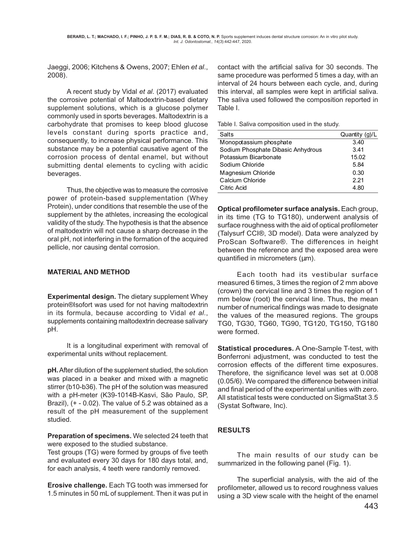Jaeggi, 2006; Kitchens & Owens, 2007; Ehlen *et al*., 2008).

A recent study by Vidal *et al*. (2017) evaluated the corrosive potential of Maltodextrin-based dietary supplement solutions, which is a glucose polymer commonly used in sports beverages. Maltodextrin is a carbohydrate that promises to keep blood glucose levels constant during sports practice and, consequently, to increase physical performance. This substance may be a potential causative agent of the corrosion process of dental enamel, but without submitting dental elements to cycling with acidic beverages.

Thus, the objective was to measure the corrosive power of protein-based supplementation (Whey Protein), under conditions that resemble the use of the supplement by the athletes, increasing the ecological validity of the study. The hypothesis is that the absence of maltodextrin will not cause a sharp decrease in the oral pH, not interfering in the formation of the acquired pellicle, nor causing dental corrosion.

## **MATERIAL AND METHOD**

**Experimental design.** The dietary supplement Whey protein®Isofort was used for not having maltodextrin in its formula, because according to Vidal *et al*., supplements containing maltodextrin decrease salivary pH.

It is a longitudinal experiment with removal of experimental units without replacement.

**pH.** After dilution of the supplement studied, the solution was placed in a beaker and mixed with a magnetic stirrer (b10-b36). The pH of the solution was measured with a pH-meter (K39-1014B-Kasvi, São Paulo, SP, Brazil), (+ - 0.02). The value of 5.2 was obtained as a result of the pH measurement of the supplement studied.

**Preparation of specimens.** We selected 24 teeth that were exposed to the studied substance.

Test groups (TG) were formed by groups of five teeth and evaluated every 30 days for 180 days total, and, for each analysis, 4 teeth were randomly removed.

**Erosive challenge.** Each TG tooth was immersed for 1.5 minutes in 50 mL of supplement. Then it was put in contact with the artificial saliva for 30 seconds. The same procedure was performed 5 times a day, with an interval of 24 hours between each cycle, and, during this interval, all samples were kept in artificial saliva. The saliva used followed the composition reported in Table I.

|  | Table I. Saliva composition used in the study. |  |  |
|--|------------------------------------------------|--|--|
|  |                                                |  |  |

| Salts                              | Quantity (g)/L |  |  |
|------------------------------------|----------------|--|--|
| Monopotassium phosphate            | 3.40           |  |  |
| Sodium Phosphate Dibasic Anhydrous | 3.41           |  |  |
| Potassium Bicarbonate              | 15.02          |  |  |
| Sodium Chloride                    | 5.84           |  |  |
| Magnesium Chloride                 | 0.30           |  |  |
| Calcium Chloride                   | 2.21           |  |  |
| Citric Acid                        | 4.80           |  |  |

**Optical profilometer surface analysis.** Each group, in its time (TG to TG180), underwent analysis of surface roughness with the aid of optical profilometer (Talysurf CCI®, 3D model). Data were analyzed by ProScan Software®. The differences in height between the reference and the exposed area were quantified in micrometers (um).

Each tooth had its vestibular surface measured 6 times, 3 times the region of 2 mm above (crown) the cervical line and 3 times the region of 1 mm below (root) the cervical line. Thus, the mean number of numerical findings was made to designate the values of the measured regions. The groups TG0, TG30, TG60, TG90, TG120, TG150, TG180 were formed.

**Statistical procedures.** A One-Sample T-test, with Bonferroni adjustment, was conducted to test the corrosion effects of the different time exposures. Therefore, the significance level was set at 0.008 (0.05/6). We compared the difference between initial and final period of the experimental unities with zero. All statistical tests were conducted on SigmaStat 3.5 (Systat Software, Inc).

## **RESULTS**

The main results of our study can be summarized in the following panel (Fig. 1).

The superficial analysis, with the aid of the profilometer, allowed us to record roughness values using a 3D view scale with the height of the enamel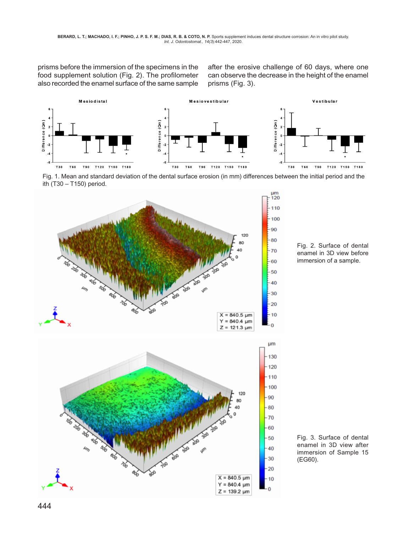prisms before the immersion of the specimens in the food supplement solution (Fig. 2). The profilometer also recorded the enamel surface of the same sample

after the erosive challenge of 60 days, where one can observe the decrease in the height of the enamel prisms (Fig. 3).



Fig. 1. Mean and standard deviation of the dental surface erosion (in mm) differences between the initial period and the ith (T30 – T150) period.





Fig. 2. Surface of dental enamel in 3D view before immersion of a sample.

Fig. 3. Surface of dental enamel in 3D view after immersion of Sample 15 (EG60).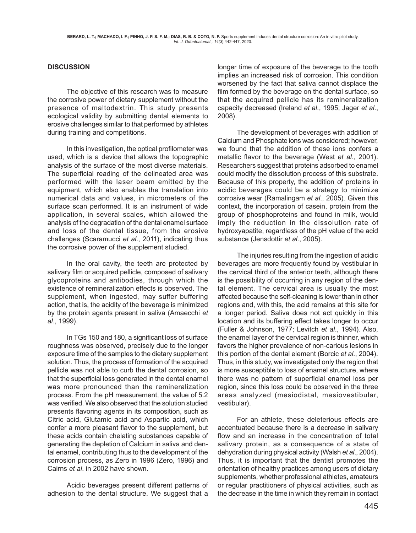## **DISCUSSION**

The objective of this research was to measure the corrosive power of dietary supplement without the presence of maltodextrin. This study presents ecological validity by submitting dental elements to erosive challenges similar to that performed by athletes during training and competitions.

In this investigation, the optical profilometer was used, which is a device that allows the topographic analysis of the surface of the most diverse materials. The superficial reading of the delineated area was performed with the laser beam emitted by the equipment, which also enables the translation into numerical data and values, in micrometers of the surface scan performed. It is an instrument of wide application, in several scales, which allowed the analysis of the degradation of the dental enamel surface and loss of the dental tissue, from the erosive challenges (Scaramucci *et al*., 2011), indicating thus the corrosive power of the supplement studied.

In the oral cavity, the teeth are protected by salivary film or acquired pellicle, composed of salivary glycoproteins and antibodies, through which the existence of remineralization effects is observed. The supplement, when ingested, may suffer buffering action, that is, the acidity of the beverage is minimized by the protein agents present in saliva (Amaecchi *et al*., 1999).

In TGs 150 and 180, a significant loss of surface roughness was observed, precisely due to the longer exposure time of the samples to the dietary supplement solution. Thus, the process of formation of the acquired pellicle was not able to curb the dental corrosion, so that the superficial loss generated in the dental enamel was more pronounced than the remineralization process. From the pH measurement, the value of 5.2 was verified. We also observed that the solution studied presents flavoring agents in its composition, such as Citric acid, Glutamic acid and Aspartic acid, which confer a more pleasant flavor to the supplement, but these acids contain chelating substances capable of generating the depletion of Calcium in saliva and dental enamel, contributing thus to the development of the corrosion process, as Zero in 1996 (Zero, 1996) and Cairns *et al*. in 2002 have shown.

Acidic beverages present different patterns of adhesion to the dental structure. We suggest that a

longer time of exposure of the beverage to the tooth implies an increased risk of corrosion. This condition worsened by the fact that saliva cannot displace the film formed by the beverage on the dental surface, so that the acquired pellicle has its remineralization capacity decreased (Ireland *et al*., 1995; Jager *et al*., 2008).

The development of beverages with addition of Calcium and Phosphate ions was considered; however, we found that the addition of these ions confers a metallic flavor to the beverage (West *et al*., 2001). Researchers suggest that proteins adsorbed to enamel could modify the dissolution process of this substrate. Because of this property, the addition of proteins in acidic beverages could be a strategy to minimize corrosive wear (Ramalingam *et al*., 2005). Given this context, the incorporation of casein, protein from the group of phosphoproteins and found in milk, would imply the reduction in the dissolution rate of hydroxyapatite, regardless of the pH value of the acid substance (Jensdottir *et al*., 2005).

The injuries resulting from the ingestion of acidic beverages are more frequently found by vestibular in the cervical third of the anterior teeth, although there is the possibility of occurring in any region of the dental element. The cervical area is usually the most affected because the self-cleaning is lower than in other regions and, with this, the acid remains at this site for a longer period. Saliva does not act quickly in this location and its buffering effect takes longer to occur (Fuller & Johnson, 1977; Levitch *et al*., 1994). Also, the enamel layer of the cervical region is thinner, which favors the higher prevalence of non-carious lesions in this portion of the dental element (Borcic *et al*., 2004). Thus, in this study, we investigated only the region that is more susceptible to loss of enamel structure, where there was no pattern of superficial enamel loss per region, since this loss could be observed in the three areas analyzed (mesiodistal, mesiovestibular, vestibular).

For an athlete, these deleterious effects are accentuated because there is a decrease in salivary flow and an increase in the concentration of total salivary protein, as a consequence of a state of dehydration during physical activity (Walsh *et al*., 2004). Thus, it is important that the dentist promotes the orientation of healthy practices among users of dietary supplements, whether professional athletes, amateurs or regular practitioners of physical activities, such as the decrease in the time in which they remain in contact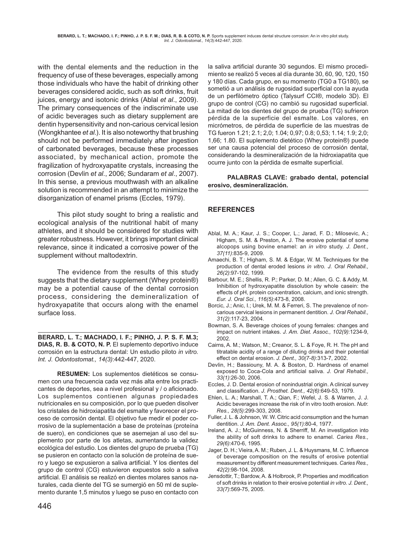with the dental elements and the reduction in the frequency of use of these beverages, especially among those individuals who have the habit of drinking other beverages considered acidic, such as soft drinks, fruit juices, energy and isotonic drinks (Ablal *et al*., 2009). The primary consequences of the indiscriminate use of acidic beverages such as dietary supplement are dentin hypersensitivity and non-carious cervical lesion (Wongkhantee *et al*.). It is also noteworthy that brushing should not be performed immediately after ingestion of carbonated beverages, because these processes associated, by mechanical action, promote the fragilization of hydroxyapatite crystals, increasing the corrosion (Devlin *et al*., 2006; Sundaram *et al*., 2007). In this sense, a previous mouthwash with an alkaline solution is recommended in an attempt to minimize the disorganization of enamel prisms (Eccles, 1979).

This pilot study sought to bring a realistic and ecological analysis of the nutritional habit of many athletes, and it should be considered for studies with greater robustness. However, it brings important clinical relevance, since it indicated a corrosive power of the supplement without maltodextrin.

The evidence from the results of this study suggests that the dietary supplement (Whey protein®) may be a potential cause of the dental corrosion process, considering the demineralization of hydroxyapatite that occurs along with the enamel surface loss.

**BERARD, L. T.; MACHADO, I. F.; PINHO, J. P. S. F. M.3; DIAS, R. B. & COTO, N. P. El suplemento deportivo induce** corrosión en la estructura dental: Un estudio piloto *in vitro. Int. J. Odontostomat., 14(3)*:442-447, 2020.

**RESUMEN:** Los suplementos dietéticos se consumen con una frecuencia cada vez más alta entre los practicantes de deportes, sea a nivel profesional y / o aficionado. Los suplementos contienen algunas propiedades nutricionales en su composición, por lo que pueden disolver los cristales de hidroxiapatita del esmalte y favorecer el proceso de corrosión dental. El objetivo fue medir el poder corrosivo de la suplementación a base de proteínas (proteína de suero), en condiciones que se asemejan al uso del suplemento por parte de los atletas, aumentando la validez ecológica del estudio. Los dientes del grupo de prueba (TG) se pusieron en contacto con la solución de proteína de suero y luego se expusieron a saliva artificial. Y los dientes del grupo de control (CG) estuvieron expuestos solo a saliva artificial. El análisis se realizó en dientes molares sanos naturales, cada diente del TG se sumergió en 50 ml de suplemento durante 1,5 minutos y luego se puso en contacto con

la saliva artificial durante 30 segundos. El mismo procedimiento se realizó 5 veces al día durante 30, 60, 90, 120, 150 y 180 días. Cada grupo, en su momento (TG0 a TG180), se sometió a un análisis de rugosidad superficial con la ayuda de un perfilómetro óptico (Talysurf CCI®, modelo 3D). El grupo de control (CG) no cambió su rugosidad superficial. La mitad de los dientes del grupo de prueba (TG) sufrieron pérdida de la superficie del esmalte. Los valores, en micrómetros, de pérdida de superficie de las muestras de TG fueron 1.21; 2.1; 2,0; 1.04; 0,97; 0.8; 0,53; 1.14; 1.9; 2,0; 1,66; 1.80. El suplemento dietético (Whey protein®) puede ser una causa potencial del proceso de corrosión dental, considerando la desmineralización de la hidroxiapatita que ocurre junto con la pérdida de esmalte superficial.

#### **PALABRAS CLAVE: grabado dental, potencial erosivo, desmineralización.**

## **REFERENCES**

- Ablal, M. A.; Kaur, J. S.; Cooper, L.; Jarad, F. D.; Milosevic, A.; Higham, S. M. & Preston, A. J. The erosive potential of some alcopops using bovine enamel: an *in vitro* study. *J. Dent., 37(11)*:835-9, 2009.
- Amaechi, B. T.; Higham, S. M. & Edgar, W. M. Techniques for the production of dental eroded lesions *in vitro. J. Oral Rehabil., 26(2)*:97-102, 1999.
- Barbour, M. E.; Shellis, R. P.; Parker, D. M.; Allen, G. C. & Addy, M. Inhibition of hydroxyapatite dissolution by whole casein: the effects of pH, protein concentration, calcium, and ionic strength. *Eur. J. Oral Sci., 116(5)*:473-8, 2008.
- Borcic, J.; Anic, I.; Urek, M. M. & Ferreri, S. The prevalence of noncarious cervical lesions in permanent dentition. *J. Oral Rehabil., 31(2)*:117-23, 2004.
- Bowman, S. A. Beverage choices of young females: changes and impact on nutrient intakes. *J. Am. Diet. Assoc., 102(9)*:1234-9, 2002.
- Cairns, A. M.; Watson, M.; Creanor, S. L. & Foye, R. H. The pH and titratable acidity of a range of diluting drinks and their potential effect on dental erosion. *J. Dent., 30(7-8)*:313-7, 2002.
- Devlin, H.; Bassiouny, M. A. & Boston, D. Hardness of enamel exposed to Coca-Cola and artificial saliva. *J. Oral Rehabil., 33(1)*:26-30, 2006.
- Eccles, J. D. Dental erosion of nonindustrial origin. A clinical survey and classification. *J. Prosthet. Dent., 42(6)*:649-53, 1979.
- Ehlen, L. A.; Marshall, T. A.; Qian, F.; Wefel, J. S. & Warren, J. J. Acidic beverages increase the risk of in vitro tooth erosion. *Nutr. Res., 28(5)*:299-303, 2008.
- Fuller, J. L. & Johnson, W. W. Citric acid consumption and the human dentition. *J. Am. Dent. Assoc., 95(1)*:80-4, 1977.
- Ireland, A. J.; McGuinness, N. & Sherriff, M. An investigation into the ability of soft drinks to adhere to enamel. *Caries Res., 29(6)*:470-6, 1995.
- Jager, D. H.; Vieira, A. M.; Ruben, J. L. & Huysmans, M. C. Influence of beverage composition on the results of erosive potential measurement by different measurement techniques. *Caries Res., 42(2)*:98-104, 2008.
- Jensdottir, T.; Bardow, A. & Holbrook, P. Properties and modification of soft drinks in relation to their erosive potential *in vitro. J. Dent., 33(7)*:569-75, 2005.